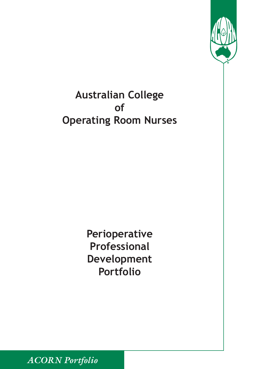

> **Perioperative Professional Development Portfolio**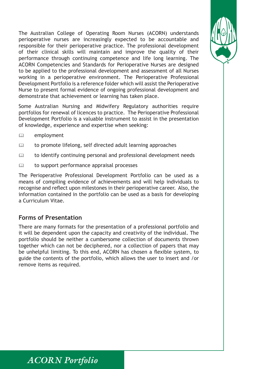The Australian College of Operating Room Nurses (ACORN) understands perioperative nurses are increasingly expected to be accountable and responsible for their perioperative practice. The professional development of their clinical skills will maintain and improve the quality of their performance through continuing competence and life long learning. The ACORN Competencies and Standards for Perioperative Nurses are designed to be applied to the professional development and assessment of all Nurses working in a perioperative environment. The Perioperative Professional Development Portfolio is a reference folder which will assist the Perioperative Nurse to present formal evidence of ongoing professional development and demonstrate that achievement or learning has taken place.

Some Australian Nursing and Midwifery Regulatory authorities require portfolios for renewal of licences to practice. The Perioperative Professional Development Portfolio is a valuable instrument to assist in the presentation of knowledge, experience and expertise when seeking:

- $\mathbb{Q}$  employment
- $\mathbb{Q}$  to promote lifelong, self directed adult learning approaches
- $\mathbb{Q}$  to identify continuing personal and professional development needs
- $\mathbb{Q}$  to support performance appraisal processes

The Perioperative Professional Development Portfolio can be used as a means of compiling evidence of achievements and will help individuals to recognise and reflect upon milestones in their perioperative career. Also, the information contained in the portfolio can be used as a basis for developing a Curriculum Vitae.

#### **Forms of Presentation**

There are many formats for the presentation of a professional portfolio and it will be dependent upon the capacity and creativity of the individual. The portfolio should be neither a cumbersome collection of documents thrown together which can not be deciphered, nor a collection of papers that may be unhelpful limiting. To this end, ACORN has chosen a flexible system, to guide the contents of the portfolio, which allows the user to insert and /or remove items as required.

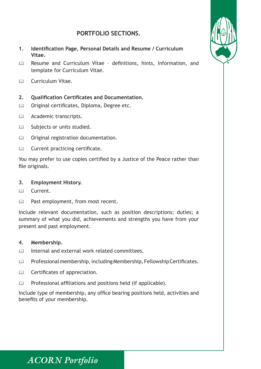#### **PORTFOLIO SECTIONS.**

- **1. Identification Page, Personal Details and Resume / Curriculum Vitae.**
- **Exame and Curriculum Vitae definitions, hints, information, and** template for Curriculum Vitae.
- $\mathbb{R}$  Curriculum Vitae.

#### **2. Qualification Certificates and Documentation.**

- **Q Original certificates, Diploma, Degree etc.**
- **Academic transcripts.**
- **Example 3** Subjects or units studied.
- **Q Original registration documentation.**
- $\mathbb{Q}$  Current practicing certificate.

You may prefer to use copies certified by a Justice of the Peace rather than file originals.

#### **3. Employment History.**

- $\mathbb{R}$  Current
- **A** Past employment, from most recent.

Include relevant documentation, such as position descriptions; duties; a summary of what you did, achievements and strengths you have from your present and past employment.

#### **4. Membership.**

- **A** Internal and external work related committees.
- **Example 25 Professional membership, including Membership, Fellowship Certificates.**
- **A** Certificates of appreciation.
- **Example 2** Professional affiliations and positions held (if applicable).

Include type of membership, any office bearing positions held, activities and benefits of your membership.

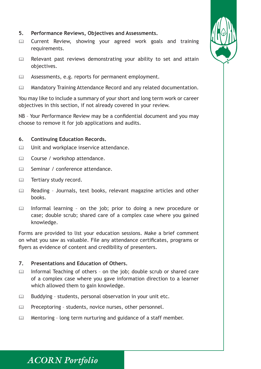- **5. Performance Reviews, Objectives and Assessments.**
- **Example 20 Current Review, showing your agreed work goals and training** requirements.
- $\mathbb{Q}$  Relevant past reviews demonstrating your ability to set and attain objectives.
- Assessments, e.g. reports for permanent employment.
- **EXECUTE Mandatory Training Attendance Record and any related documentation.**

You may like to include a summary of your short and long term work or career objectives in this section, if not already covered in your review.

NB – Your Performance Review may be a confidential document and you may choose to remove it for job applications and audits.

#### **6. Continuing Education Records.**

- $\mathbb{Q}$  Unit and workplace inservice attendance.
- **Example 2** Course / workshop attendance.
- **ED** Seminar / conference attendance.
- **E Tertiary study record.**
- **Example 2** Reading Journals, text books, relevant magazine articles and other books.
- $\mathbb{Q}$  Informal learning on the job; prior to doing a new procedure or case; double scrub; shared care of a complex case where you gained knowledge.

Forms are provided to list your education sessions. Make a brief comment on what you saw as valuable. File any attendance certificates, programs or flyers as evidence of content and credibility of presenters.

#### **7. Presentations and Education of Others.**

- Informal Teaching of others on the job; double scrub or shared care of a complex case where you gave information direction to a learner which allowed them to gain knowledge.
- $\mathbb{Q}$  Buddying students, personal observation in your unit etc.
- **Example 2** Preceptoring students, novice nurses, other personnel.
- $\mathbb{Q}$  Mentoring long term nurturing and guidance of a staff member.

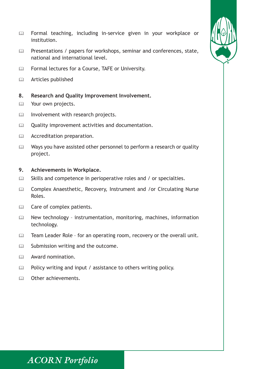

- **Example 20 Formal teaching, including in-service given in your workplace or** institution.
- **Example 20 Presentations / papers for workshops, seminar and conferences, state,** national and international level.
- **Example 1** Formal lectures for a Course, TAFE or University.
- **Articles published**

#### **8. Research and Quality Improvement Involvement.**

- **E Your own projects.**
- **A** Involvement with research projects.
- **Quality improvement activities and documentation.**
- Accreditation preparation.
- $\mathbb{Q}$  Ways you have assisted other personnel to perform a research or quality project.

#### **9. Achievements in Workplace.**

- $\mathbb{Q}$  Skills and competence in perioperative roles and / or specialties.
- **Examplex Anaesthetic, Recovery, Instrument and /or Circulating Nurse** Roles.
- $\Box$  Care of complex patients.
- **Example 20 New technology instrumentation, monitoring, machines, information** technology.
- **Exam Leader Role for an operating room, recovery or the overall unit.**
- **Example 3 Submission writing and the outcome.**
- $\mathbb{Q}$  Award nomination.
- $\mathbb{Q}$  Policy writing and input / assistance to others writing policy.
- $\mathbb{R}$  Other achievements.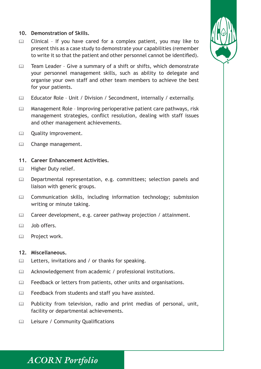#### **10. Demonstration of Skills.**

- $\mathbb{Q}$  Clinical If you have cared for a complex patient, you may like to present this as a case study to demonstrate your capabilities (remember to write it so that the patient and other personnel cannot be identified).
- **Examble 1** Team Leader Give a summary of a shift or shifts, which demonstrate your personnel management skills, such as ability to delegate and organise your own staff and other team members to achieve the best for your patients.
- **Educator Role Unit / Division / Secondment, internally / externally.**
- $\mathbb{Q}$  Management Role Improving perioperative patient care pathways, risk management strategies, conflict resolution, dealing with staff issues and other management achievements.
- **Example 20** Quality improvement.
- Change management.

#### **11. Career Enhancement Activities.**

- $\mathbb{Q}$  Higher Duty relief.
- **Example 20 Departmental representation, e.g. committees; selection panels and** liaison with generic groups.
- **Example 20 Communication skills, including information technology; submission** writing or minute taking.
- $\mathbb{Q}$  Career development, e.g. career pathway projection / attainment.
- $\Box$  Job offers.
- & Project work.

#### **12. Miscellaneous.**

- $\mathbb{Q}$  Letters, invitations and / or thanks for speaking.
- **Example 20** Acknowledgement from academic / professional institutions.
- **EXECUTE:** Feedback or letters from patients, other units and organisations.
- $\mathbb{Q}$  Feedback from students and staff you have assisted.
- **Example 12** Publicity from television, radio and print medias of personal, unit, facility or departmental achievements.
- **Example 15 Leisure / Community Qualifications**

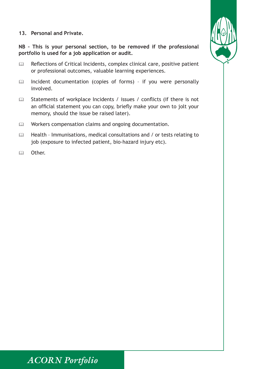#### **13. Personal and Private.**

**NB – This is your personal section, to be removed if the professional portfolio is used for a job application or audit.** 

- $\mathbb{Q}$  Reflections of Critical Incidents, complex clinical care, positive patient or professional outcomes, valuable learning experiences.
- $\mathbb{Q}$  Incident documentation (copies of forms) if you were personally involved.
- **Example 12** Statements of workplace Incidents / issues / conflicts (if there is not an official statement you can copy, briefly make your own to jolt your memory, should the issue be raised later).
- Workers compensation claims and ongoing documentation.
- **Example 20 Health Immunisations, medical consultations and / or tests relating to** job (exposure to infected patient, bio-hazard injury etc).
- $\mathbf{m}$  Other

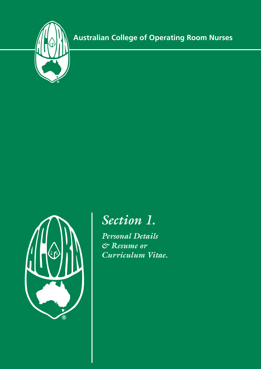



# *Section 1.*

*Personal Details & Resume or Curriculum Vitae.*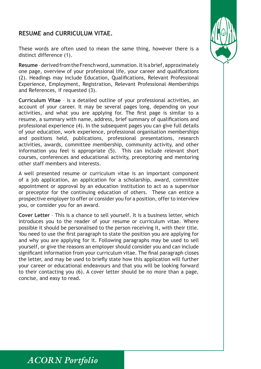#### **RESUME and CURRICULUM VITAE.**



These words are often used to mean the same thing, however there is a distinct difference (1).

**Resume** – derived from the French word, summation. It is a brief, approximately one page, overview of your professional life, your career and qualifications (2). Headings may include Education, Qualifications, Relevant Professional Experience, Employment, Registration, Relevant Professional Memberships and References, if requested (3).

**Curriculum Vitae** – is a detailed outline of your professional activities, an account of your career. It may be several pages long, depending on your activities, and what you are applying for. The first page is similar to a resume, a summary with name, address, brief summary of qualifications and professional experience (4). In the subsequent pages you can give full details of your education, work experience, professional organisation memberships and positions held, publications, professional presentations, research activities, awards, committee membership, community activity, and other information you feel is appropriate (5). This can include relevant short courses, conferences and educational activity, preceptoring and mentoring other staff members and interests.

A well presented resume or curriculum vitae is an important component of a job application, an application for a scholarship, award, committee appointment or approval by an education institution to act as a supervisor or preceptor for the continuing education of others. These can entice a prospective employer to offer or consider you for a position, offer to interview you, or consider you for an award.

**Cover Letter** – This is a chance to sell yourself. It is a business letter, which introduces you to the reader of your resume or curriculum vitae. Where possible it should be personalised to the person receiving it, with their title. You need to use the first paragraph to state the position you are applying for and why you are applying for it. Following paragraphs may be used to sell yourself, or give the reasons an employer should consider you and can include significant information from your curriculum vitae. The final paragraph closes the letter, and may be used to briefly state how this application will further your career or educational endeavours and that you will be looking forward to their contacting you (6). A cover letter should be no more than a page, concise, and easy to read.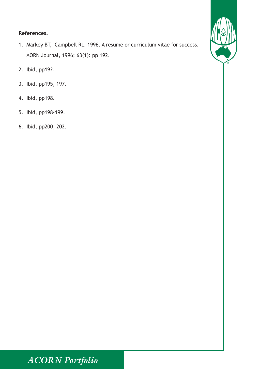#### **References.**

- 1. Markey BT, Campbell RL. 1996. A resume or curriculum vitae for success. AORN Journal, 1996; 63(1): pp 192.
- 2. Ibid, pp192.
- 3. Ibid, pp195, 197.
- 4. Ibid, pp198.
- 5. Ibid, pp198-199.
- 6. Ibid, pp200, 202.

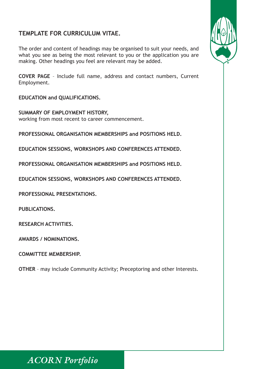#### **TEMPLATE FOR CURRICULUM VITAE.**

The order and content of headings may be organised to suit your needs, and what you see as being the most relevant to you or the application you are making. Other headings you feel are relevant may be added.

**COVER PAGE** – Include full name, address and contact numbers, Current Employment.

**EDUCATION and QUALIFICATIONS.**

**SUMMARY OF EMPLOYMENT HISTORY,**  working from most recent to career commencement.

**PROFESSIONAL ORGANISATION MEMBERSHIPS and POSITIONS HELD.** 

**EDUCATION SESSIONS, WORKSHOPS AND CONFERENCES ATTENDED.** 

**PROFESSIONAL ORGANISATION MEMBERSHIPS and POSITIONS HELD.** 

**EDUCATION SESSIONS, WORKSHOPS AND CONFERENCES ATTENDED.** 

**PROFESSIONAL PRESENTATIONS.**

**PUBLICATIONS.** 

**RESEARCH ACTIVITIES.** 

**AWARDS / NOMINATIONS.** 

**COMMITTEE MEMBERSHIP.** 

**OTHER** – may include Community Activity; Preceptoring and other Interests.



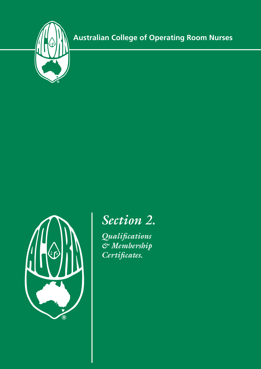



# *Section 2.*

*Qualifications & Membership Certificates.*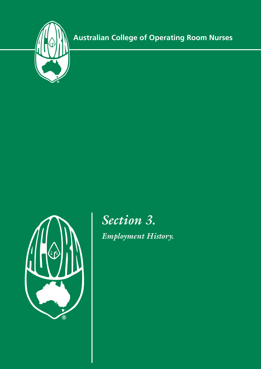



*Section 3. Employment History.*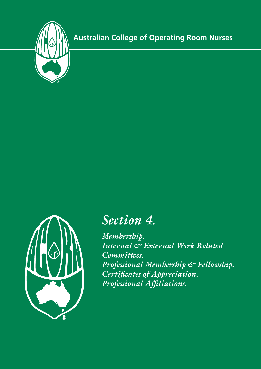



# *Section 4.*

*Membership. Internal & External Work Related Committees. Professional Membership & Fellowship. Certificates of Appreciation. Professional Affiliations.*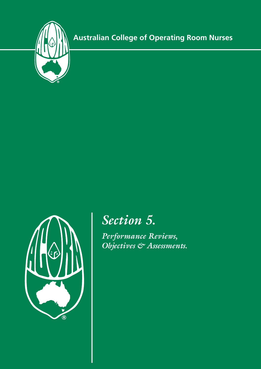



# *Section 5.*

*Performance Reviews, Objectives & Assessments.*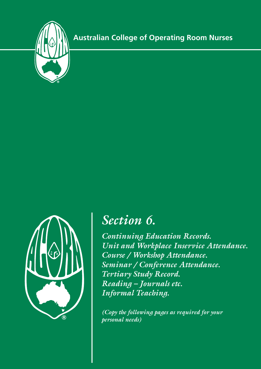



# *Section 6.*

*Continuing Education Records. Unit and Workplace Inservice Attendance. Course / Workshop Attendance. Seminar / Conference Attendance. Tertiary Study Record. Reading – Journals etc. Informal Teaching.*

*(Copy the following pages as required for your personal needs)*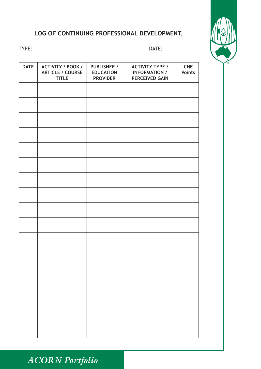#### **LOG OF CONTINUING PROFESSIONAL DEVELOPMENT.**



TYPE: \_\_\_\_\_\_\_\_\_\_\_\_\_\_\_\_\_\_\_\_\_\_\_\_\_\_\_\_\_\_\_\_\_\_\_\_\_\_\_ DATE: \_\_\_\_\_\_\_\_\_\_\_\_

| <b>DATE</b> | <b>ACTIVITY / BOOK /</b><br><b>ARTICLE / COURSE</b><br><b>TITLE</b> | <b>PUBLISHER /</b><br><b>EDUCATION</b><br><b>PROVIDER</b> | <b>ACTIVITY TYPE /</b><br><b>INFORMATION /</b><br><b>PERCEIVED GAIN</b> | <b>CNE</b><br><b>Points</b> |
|-------------|---------------------------------------------------------------------|-----------------------------------------------------------|-------------------------------------------------------------------------|-----------------------------|
|             |                                                                     |                                                           |                                                                         |                             |
|             |                                                                     |                                                           |                                                                         |                             |
|             |                                                                     |                                                           |                                                                         |                             |
|             |                                                                     |                                                           |                                                                         |                             |
|             |                                                                     |                                                           |                                                                         |                             |
|             |                                                                     |                                                           |                                                                         |                             |
|             |                                                                     |                                                           |                                                                         |                             |
|             |                                                                     |                                                           |                                                                         |                             |
|             |                                                                     |                                                           |                                                                         |                             |
|             |                                                                     |                                                           |                                                                         |                             |
|             |                                                                     |                                                           |                                                                         |                             |
|             |                                                                     |                                                           |                                                                         |                             |
|             |                                                                     |                                                           |                                                                         |                             |
|             |                                                                     |                                                           |                                                                         |                             |
|             |                                                                     |                                                           |                                                                         |                             |
|             |                                                                     |                                                           |                                                                         |                             |
|             |                                                                     |                                                           |                                                                         |                             |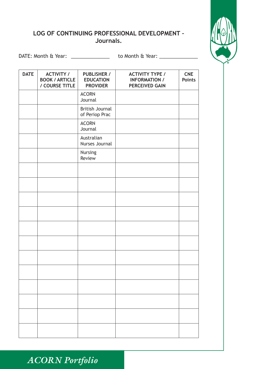#### **LOG OF CONTINUING PROFESSIONAL DEVELOPMENT – Journals.**



DATE: Month & Year: \_\_\_\_\_\_\_\_\_\_\_\_\_\_\_\_\_ to Month & Year: \_\_\_\_\_\_\_\_\_\_\_\_\_\_\_\_\_\_\_\_\_\_\_\_\_

| <b>DATE</b> | <b>ACTIVITY /</b><br><b>BOOK / ARTICLE</b><br>/ COURSE TITLE | <b>PUBLISHER /</b><br><b>EDUCATION</b><br><b>PROVIDER</b> | <b>ACTIVITY TYPE /</b><br><b>INFORMATION /</b><br><b>PERCEIVED GAIN</b> | <b>CNE</b><br><b>Points</b> |
|-------------|--------------------------------------------------------------|-----------------------------------------------------------|-------------------------------------------------------------------------|-----------------------------|
|             |                                                              | <b>ACORN</b><br>Journal                                   |                                                                         |                             |
|             |                                                              | <b>British Journal</b><br>of Periop Prac                  |                                                                         |                             |
|             |                                                              | <b>ACORN</b><br>Journal                                   |                                                                         |                             |
|             |                                                              | Australian<br>Nurses Journal                              |                                                                         |                             |
|             |                                                              | Nursing<br>Review                                         |                                                                         |                             |
|             |                                                              |                                                           |                                                                         |                             |
|             |                                                              |                                                           |                                                                         |                             |
|             |                                                              |                                                           |                                                                         |                             |
|             |                                                              |                                                           |                                                                         |                             |
|             |                                                              |                                                           |                                                                         |                             |
|             |                                                              |                                                           |                                                                         |                             |
|             |                                                              |                                                           |                                                                         |                             |
|             |                                                              |                                                           |                                                                         |                             |
|             |                                                              |                                                           |                                                                         |                             |
|             |                                                              |                                                           |                                                                         |                             |
|             |                                                              |                                                           |                                                                         |                             |
|             |                                                              |                                                           |                                                                         |                             |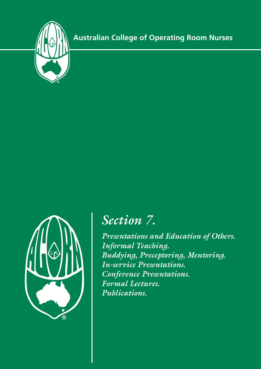



# *Section 7.*

*Presentations and Education of Others. Informal Teaching. Buddying, Preceptoring, Mentoring. In-service Presentations. Conference Presentations. Formal Lectures. Publications.*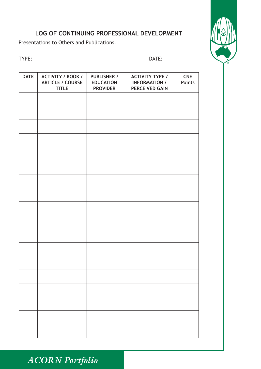#### **LOG OF CONTINUING PROFESSIONAL DEVELOPMENT**

Presentations to Others and Publications.



|  |  | ۰.<br>× |
|--|--|---------|
|  |  |         |

#### TYPE: \_\_\_\_\_\_\_\_\_\_\_\_\_\_\_\_\_\_\_\_\_\_\_\_\_\_\_\_\_\_\_\_\_\_\_\_\_\_\_ DATE: \_\_\_\_\_\_\_\_\_\_\_\_

| <b>DATE</b> | <b>ACTIVITY / BOOK /</b><br><b>ARTICLE / COURSE</b><br><b>TITLE</b> | <b>PUBLISHER /</b><br><b>EDUCATION</b><br><b>PROVIDER</b> | <b>ACTIVITY TYPE /</b><br><b>INFORMATION /</b><br><b>PERCEIVED GAIN</b> | <b>CNE</b><br><b>Points</b> |
|-------------|---------------------------------------------------------------------|-----------------------------------------------------------|-------------------------------------------------------------------------|-----------------------------|
|             |                                                                     |                                                           |                                                                         |                             |
|             |                                                                     |                                                           |                                                                         |                             |
|             |                                                                     |                                                           |                                                                         |                             |
|             |                                                                     |                                                           |                                                                         |                             |
|             |                                                                     |                                                           |                                                                         |                             |
|             |                                                                     |                                                           |                                                                         |                             |
|             |                                                                     |                                                           |                                                                         |                             |
|             |                                                                     |                                                           |                                                                         |                             |
|             |                                                                     |                                                           |                                                                         |                             |
|             |                                                                     |                                                           |                                                                         |                             |
|             |                                                                     |                                                           |                                                                         |                             |
|             |                                                                     |                                                           |                                                                         |                             |
|             |                                                                     |                                                           |                                                                         |                             |
|             |                                                                     |                                                           |                                                                         |                             |
|             |                                                                     |                                                           |                                                                         |                             |
|             |                                                                     |                                                           |                                                                         |                             |
|             |                                                                     |                                                           |                                                                         |                             |
|             |                                                                     |                                                           |                                                                         |                             |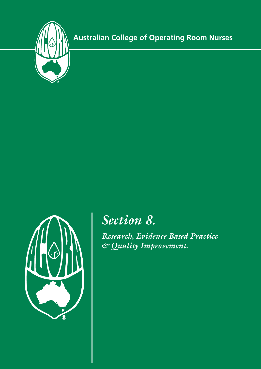



# *Section 8.*

*Research, Evidence Based Practice & Quality Improvement.*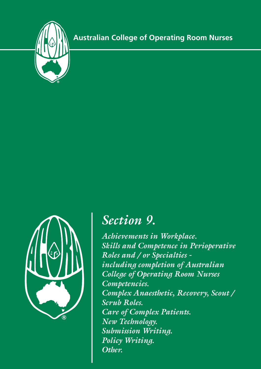



# *Section 9.*

*Achievements in Workplace. Skills and Competence in Perioperative Roles and / or Specialties including completion of Australian College of Operating Room Nurses Competencies. Complex Anaesthetic, Recovery, Scout / Scrub Roles. Care of Complex Patients. New Technology. Submission Writing. Policy Writing. Other.*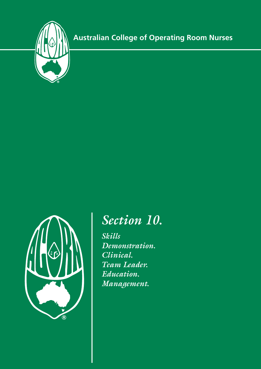



# *Section 10.*

*Skills Demonstration. Clinical. Team Leader. Education. Management.*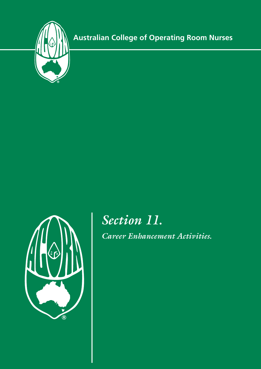



*Section 11.*

*Career Enhancement Activities.*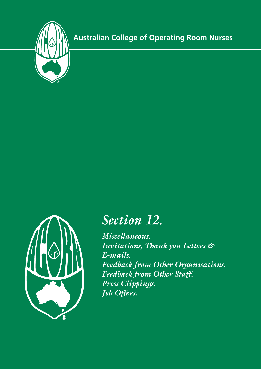



# *Section 12.*

*Miscellaneous. Invitations, Thank you Letters & E-mails. Feedback from Other Organisations. Feedback from Other Staff. Press Clippings. Job Offers.*